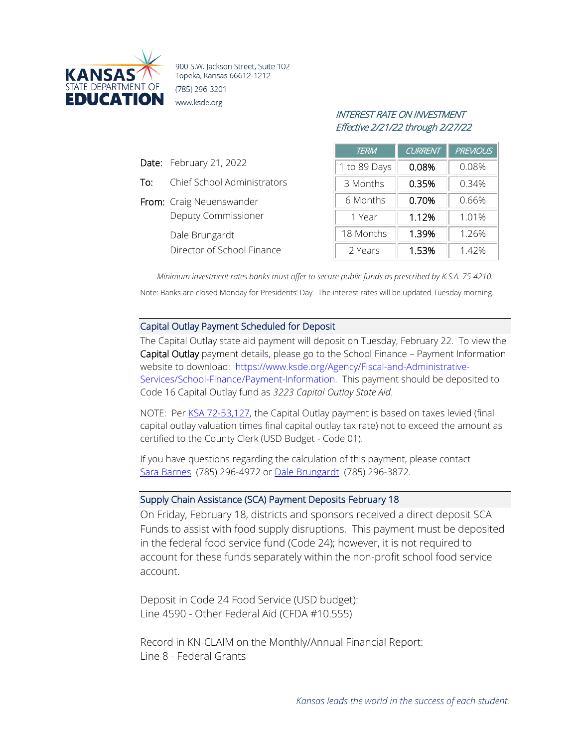

900 S.W. Jackson Street, Suite 102 Topeka, Kansas 66612-1212 (785) 296-3201 www.ksde.org

Date: February 21, 2022

From: Craig Neuenswander

Dale Brungardt

To: Chief School Administrators

Deputy Commissioner

Director of School Finance

## INTEREST RATE ON INVESTMENT Effective 2/21/22 through 2/27/22

| <i>TERM</i>  | <b>CURRENT</b> | <b>PREVIOUS</b> |
|--------------|----------------|-----------------|
| 1 to 89 Days | 0.08%          | 0.08%           |
| 3 Months     | 0.35%          | 0.34%           |
| 6 Months     | 0.70%          | 0.66%           |
| 1 Year       | 1.12%          | 1.01%           |
| 18 Months    | 1.39%          | 1.26%           |
| 2 Years      | 1.53%          | 1.42%           |

*Minimum investment rates banks must offer to secure public funds as prescribed by K.S.A. 75-4210.* Note: Banks are closed Monday for Presidents' Day. The interest rates will be updated Tuesday morning.

## Capital Outlay Payment Scheduled for Deposit

The Capital Outlay state aid payment will deposit on Tuesday, February 22. To view the Capital Outlay payment details, please go to the School Finance – Payment Information website to download: [https://www.ksde.org/Agency/Fiscal-and-Administrative-](https://www.ksde.org/Agency/Fiscal-and-Administrative-Services/School-Finance/Payment-Information)[Services/School-Finance/Payment-Information.](https://www.ksde.org/Agency/Fiscal-and-Administrative-Services/School-Finance/Payment-Information) This payment should be deposited to Code 16 Capital Outlay fund as *3223 Capital Outlay State Aid*.

NOTE: Per [KSA 72-53,127,](https://www.ksrevisor.org/statutes/chapters/ch72/072_053_0126.html) the Capital Outlay payment is based on taxes levied (final capital outlay valuation times final capital outlay tax rate) not to exceed the amount as certified to the County Clerk (USD Budget - Code 01).

If you have questions regarding the calculation of this payment, please contact [Sara Barnes](mailto:sbarnes@ksde.org) (785) 296-4972 or [Dale Brungardt](mailto:DBrungardt@ksde.org) (785) 296-3872.

## Supply Chain Assistance (SCA) Payment Deposits February 18

On Friday, February 18, districts and sponsors received a direct deposit SCA Funds to assist with food supply disruptions. This payment must be deposited in the federal food service fund (Code 24); however, it is not required to account for these funds separately within the non-profit school food service account.

Deposit in Code 24 Food Service (USD budget): Line 4590 - Other Federal Aid (CFDA #10.555)

Record in KN-CLAIM on the Monthly/Annual Financial Report: Line 8 - Federal Grants